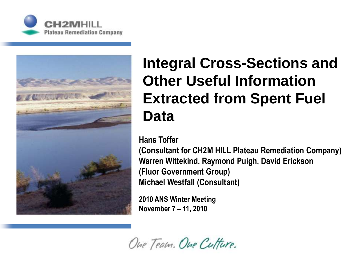



#### **Integral Cross-Sections and Other Useful Information Extracted from Spent Fuel Data**

#### **Hans Toffer**

**(Consultant for CH2M HILL Plateau Remediation Company) Warren Wittekind, Raymond Puigh, David Erickson (Fluor Government Group) Michael Westfall (Consultant)**

**2010 ANS Winter Meeting November 7 – 11, 2010**

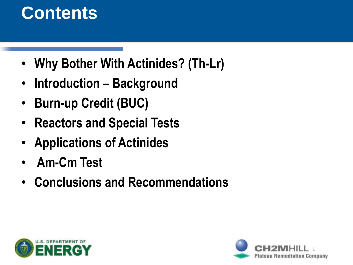### **Contents**

- **Why Bother With Actinides? (Th-Lr)**
- **Introduction – Background**
- **Burn-up Credit (BUC)**
- **Reactors and Special Tests**
- **Applications of Actinides**
- **Am-Cm Test**
- **Conclusions and Recommendations**



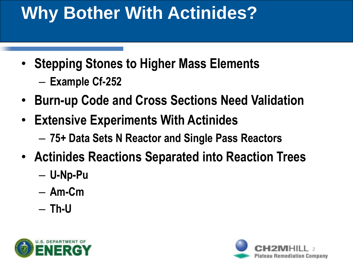# **Why Bother With Actinides?**

- **Stepping Stones to Higher Mass Elements**
	- **Example Cf-252**
- **Burn-up Code and Cross Sections Need Validation**
- **Extensive Experiments With Actinides**
	- **75+ Data Sets N Reactor and Single Pass Reactors**
- **Actinides Reactions Separated into Reaction Trees**
	- **U-Np-Pu**
	- **Am-Cm**
	- **Th-U**



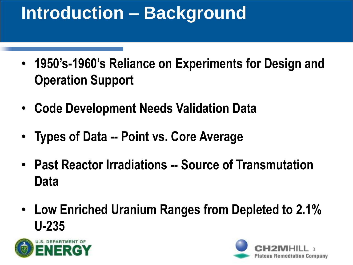# **Introduction – Background**

- **1950's-1960's Reliance on Experiments for Design and Operation Support**
- **Code Development Needs Validation Data**
- **Types of Data -- Point vs. Core Average**
- **Past Reactor Irradiations -- Source of Transmutation Data**
- **Low Enriched Uranium Ranges from Depleted to 2.1% U-235**



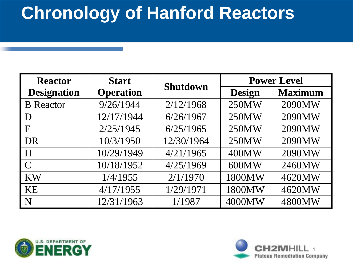### **Chronology of Hanford Reactors**

| <b>Reactor</b>     | <b>Start</b>     | <b>Shutdown</b> | <b>Power Level</b> |                |
|--------------------|------------------|-----------------|--------------------|----------------|
| <b>Designation</b> | <b>Operation</b> |                 | <b>Design</b>      | <b>Maximum</b> |
| <b>B</b> Reactor   | 9/26/1944        | 2/12/1968       | 250MW              | 2090MW         |
| D                  | 12/17/1944       | 6/26/1967       | 250MW              | 2090MW         |
| F                  | 2/25/1945        | 6/25/1965       | 250MW              | 2090MW         |
| DR                 | 10/3/1950        | 12/30/1964      | 250MW              | 2090MW         |
| H                  | 10/29/1949       | 4/21/1965       | 400MW              | 2090MW         |
| $\Gamma$           | 10/18/1952       | 4/25/1969       | 600MW              | 2460MW         |
| <b>KW</b>          | 1/4/1955         | 2/1/1970        | 1800MW             | 4620MW         |
| <b>KE</b>          | 4/17/1955        | 1/29/1971       | 1800MW             | 4620MW         |
| N                  | 12/31/1963       | 1/1987          | 4000MW             | 4800MW         |



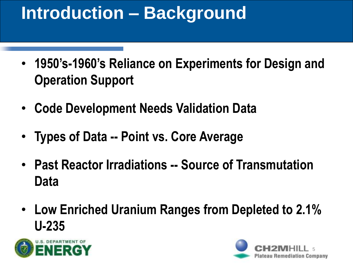# **Introduction – Background**

- **1950's-1960's Reliance on Experiments for Design and Operation Support**
- **Code Development Needs Validation Data**
- **Types of Data -- Point vs. Core Average**
- **Past Reactor Irradiations -- Source of Transmutation Data**
- **Low Enriched Uranium Ranges from Depleted to 2.1% U-235**



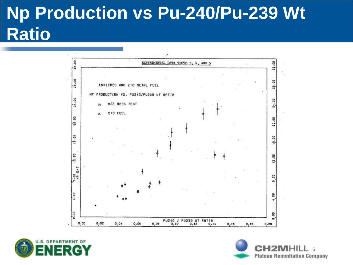## **Np Production vs Pu-240/Pu-239 Wt Ratio**





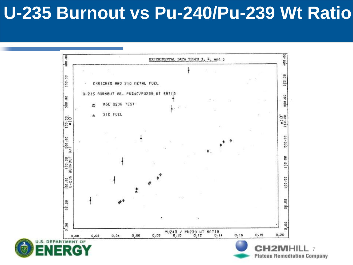#### **U-235 Burnout vs Pu-240/Pu-239 Wt Ratio**



s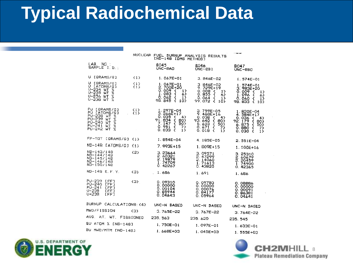#### **Typical Radiochemical Data**

NUCLEAR FUEL BURNUP ANALYSIS RESULTS<br>[ND-148 IDMS METHOD]

 $\sim$  mass ago

| LAB. NO.:<br>SAMPLE I.D.                                                                                                                                                              | 8045<br>UNC-BAB                                                                                                                      | <b>BO46</b><br>UNC-BBI                                                                                                                                          | BO47<br>UNC-BBO                                                                                                                            |
|---------------------------------------------------------------------------------------------------------------------------------------------------------------------------------------|--------------------------------------------------------------------------------------------------------------------------------------|-----------------------------------------------------------------------------------------------------------------------------------------------------------------|--------------------------------------------------------------------------------------------------------------------------------------------|
| V [GRAMS/G]<br>(1)                                                                                                                                                                    | $1.067E - 01$                                                                                                                        | $3.846E - 02$                                                                                                                                                   | 1.574E-01                                                                                                                                  |
| U EGRAMS/03<br>イエト<br>U [ATOMS/G]<br>$\{1\}$<br>$U - 234$ WT %<br>$U - 235$<br><b>WT</b><br>$\mathcal{L}$<br>U-236 WT %<br>$U - 238$ $WT$ $Z$                                         | 1.067E-01<br>2.700E+20<br>0.009 <sub>1</sub><br>1)<br>1.083<br>€<br>6)<br>0. 062<br>ł.<br>i3<br>ł<br>98.845<br>10}                   | 3.846E-02<br>$9.729E+19$<br>0.008 <sub>0</sub><br>1<br>0.855<br>$\mathbf{f}$<br>6)<br>0. 064<br>ł<br>13<br>99.072<br>$\epsilon$<br>10}                          | $1.574E - 01$<br>$3.983E + 20$<br>$0.009 - 1$<br>13<br>1.096<br>Ł<br>63<br>Ö. Ö6Ö<br>₹<br>13<br>98.833<br>Ł<br>103                         |
| PU [GRAMS/G]<br>$\{1\}$<br>PU LATOMS/GI<br>${1}$<br>PU-238 WT X<br><b>PU-239</b><br>WТ<br>z<br><b>PU-240</b><br>WТ<br>$\mathcal{V}$<br>$PU - 241$<br>WT<br>χ<br>ż<br>$PU - 242$<br>WT | 1.297E-04<br>3. 266E+17<br>0.035<br>- 1<br>4)<br>$91.834$<br>7.147<br>€<br>803<br>÷.<br>50)<br>0.951<br>ብ<br>7)<br>0.033<br>f.<br>1) | 3.759E-05<br>9.468E+16<br>0.038<br>$\left\{ \right.$ 4)<br>93.640<br>$\frac{1}{2}$<br>801<br>5. 633<br>503<br>0.671<br>K<br>73<br>0.018<br>-0<br>1 <sub>2</sub> | $1.820E - 04$<br>4.584E+17<br>0.036<br>43<br>€<br>92.179<br>€<br>80}<br>6.875<br>€<br>50)<br>0.880<br>Æ<br>7}<br>$\epsilon$<br>0.030<br>1) |
| FP-TOT LGRAMS/GJ<br>${1}$                                                                                                                                                             | $1.854E - 04$                                                                                                                        | 4.185E-05                                                                                                                                                       | $2.551E - 04$                                                                                                                              |
| $ND-149$<br>[ATOMS/G]<br>$\{1\}$                                                                                                                                                      | 7.993E+15                                                                                                                            | 1. B09E+15                                                                                                                                                      | 1.100E+16                                                                                                                                  |
| ND-143/148<br>(2)<br>ND-144/148<br>ND-145/148<br>ND-146/148<br>$ND-150/148$                                                                                                           | 3.23664<br>2.60321<br>2.19879<br>1.74709<br>0.42267                                                                                  | 3.09571<br>2.47299<br>2.14060<br>1.71613<br>0.43825                                                                                                             | 3.25310<br>2.60679<br>2.20459<br>1.74900<br>0.42365                                                                                        |
| ND-148 E.F.Y.<br>${3}$                                                                                                                                                                | 1.686                                                                                                                                | 1.691                                                                                                                                                           | 1.686                                                                                                                                      |
| PU-239<br>[FF]<br>3 <sub>2</sub><br>$PU - 240$<br>[FF]<br>$PU - 241$<br>[FF]<br>$U - 235$<br>EFFI<br>$U - 238$<br>[FF]                                                                | 0.09310<br>0.00000<br>0.00104<br>0.65944<br>0.04643                                                                                  | 0.09783<br>0.00000<br>0.00076<br>0.84177<br>0.05964                                                                                                             | 0.08886<br>0.00000<br>0.00091<br>0.86381<br>0.04641                                                                                        |
| BURNUP CALCULATIONS: (4)                                                                                                                                                              | UNC-N BASED                                                                                                                          | UNC-N BASED                                                                                                                                                     | UNC-N BASED                                                                                                                                |
| MWD/FISSION<br>ŒЭ                                                                                                                                                                     | 3.765E-22                                                                                                                            | 3.767E-22                                                                                                                                                       | $3.764E - 22$                                                                                                                              |
| AVG. AT. WT.<br>FISSIONED                                                                                                                                                             | 235.563                                                                                                                              | 235.620                                                                                                                                                         | 235, 545                                                                                                                                   |
| BU ATOM X [ND-148]                                                                                                                                                                    | 1.750E-01                                                                                                                            | $1.097E - 01$                                                                                                                                                   | $1.633E - 01$                                                                                                                              |
| BU MWD/MTM [ND-148]                                                                                                                                                                   | $1.668E + 03$                                                                                                                        | $1.045E + 03$                                                                                                                                                   | $1.555E+0.3$                                                                                                                               |



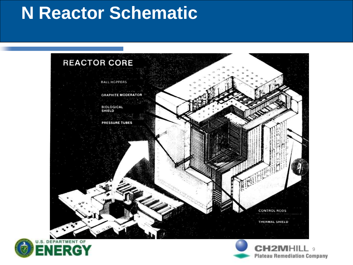#### **N Reactor Schematic**





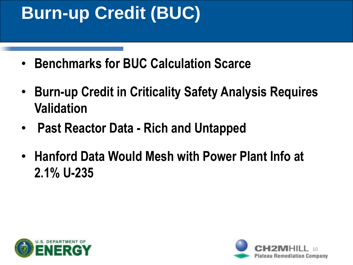## **Burn-up Credit (BUC)**

- **Benchmarks for BUC Calculation Scarce**
- **Burn-up Credit in Criticality Safety Analysis Requires Validation**
- **Past Reactor Data - Rich and Untapped**
- **Hanford Data Would Mesh with Power Plant Info at 2.1% U-235**



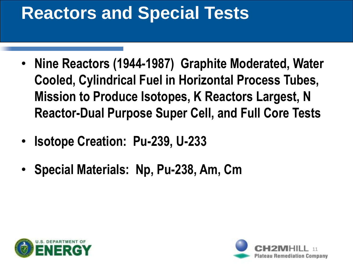## **Reactors and Special Tests**

- **Nine Reactors (1944-1987) Graphite Moderated, Water Cooled, Cylindrical Fuel in Horizontal Process Tubes, Mission to Produce Isotopes, K Reactors Largest, N Reactor-Dual Purpose Super Cell, and Full Core Tests**
- **Isotope Creation: Pu-239, U-233**
- **Special Materials: Np, Pu-238, Am, Cm**



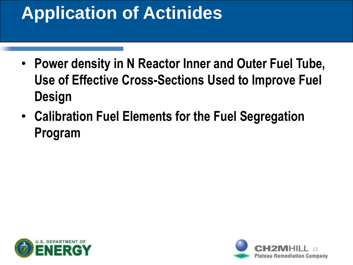# **Application of Actinides**

- **Power density in N Reactor Inner and Outer Fuel Tube, Use of Effective Cross-Sections Used to Improve Fuel Design**
- **Calibration Fuel Elements for the Fuel Segregation Program**



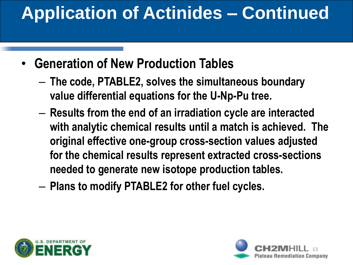# **Application of Actinides – Continued**

- **Generation of New Production Tables**
	- **The code, PTABLE2, solves the simultaneous boundary value differential equations for the U-Np-Pu tree.**
	- **Results from the end of an irradiation cycle are interacted with analytic chemical results until a match is achieved. The original effective one-group cross-section values adjusted for the chemical results represent extracted cross-sections needed to generate new isotope production tables.**
	- **Plans to modify PTABLE2 for other fuel cycles.**



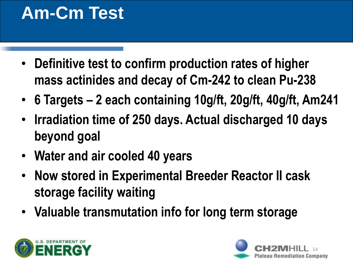## **Am-Cm Test**

- **Definitive test to confirm production rates of higher mass actinides and decay of Cm-242 to clean Pu-238**
- **6 Targets – 2 each containing 10g/ft, 20g/ft, 40g/ft, Am241**
- **Irradiation time of 250 days. Actual discharged 10 days beyond goal**
- **Water and air cooled 40 years**
- **Now stored in Experimental Breeder Reactor II cask storage facility waiting**
- **Valuable transmutation info for long term storage**